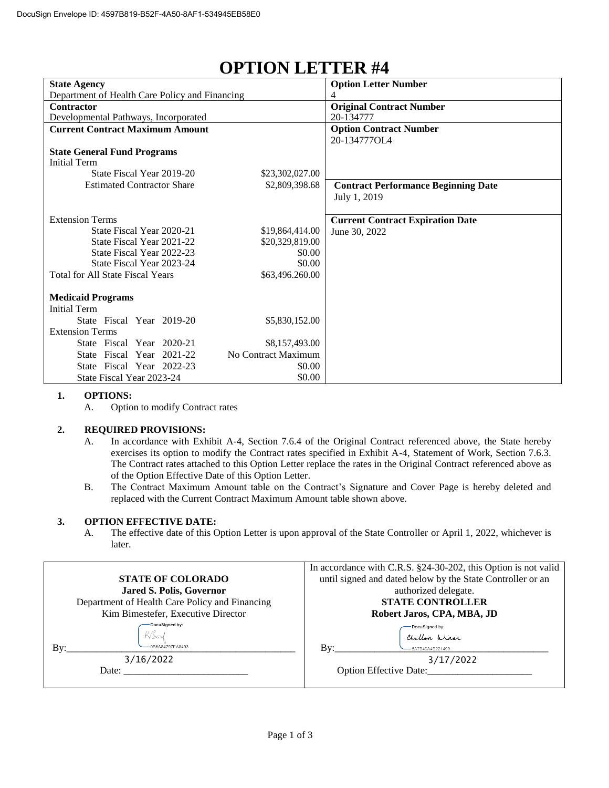| <b>State Agency</b>                            |                     | <b>Option Letter Number</b>                |
|------------------------------------------------|---------------------|--------------------------------------------|
| Department of Health Care Policy and Financing |                     | 4                                          |
| <b>Contractor</b>                              |                     | <b>Original Contract Number</b>            |
| Developmental Pathways, Incorporated           |                     | 20-134777                                  |
| <b>Current Contract Maximum Amount</b>         |                     | <b>Option Contract Number</b>              |
|                                                |                     | 20-134777OL4                               |
| <b>State General Fund Programs</b>             |                     |                                            |
| <b>Initial Term</b>                            |                     |                                            |
| State Fiscal Year 2019-20                      | \$23,302,027.00     |                                            |
| <b>Estimated Contractor Share</b>              | \$2,809,398.68      | <b>Contract Performance Beginning Date</b> |
|                                                |                     | July 1, 2019                               |
|                                                |                     |                                            |
| <b>Extension Terms</b>                         |                     | <b>Current Contract Expiration Date</b>    |
| State Fiscal Year 2020-21                      | \$19,864,414.00     | June 30, 2022                              |
| State Fiscal Year 2021-22                      | \$20,329,819.00     |                                            |
| State Fiscal Year 2022-23                      | \$0.00              |                                            |
| State Fiscal Year 2023-24                      | \$0.00              |                                            |
| <b>Total for All State Fiscal Years</b>        | \$63,496.260.00     |                                            |
|                                                |                     |                                            |
| <b>Medicaid Programs</b>                       |                     |                                            |
| <b>Initial Term</b>                            |                     |                                            |
| State Fiscal Year 2019-20                      | \$5,830,152.00      |                                            |
| <b>Extension Terms</b>                         |                     |                                            |
| State Fiscal Year 2020-21                      | \$8,157,493.00      |                                            |
| State Fiscal Year 2021-22                      | No Contract Maximum |                                            |
| State Fiscal Year 2022-23                      | \$0.00              |                                            |
| State Fiscal Year 2023-24                      | \$0.00              |                                            |

## **OPTION LETTER #4**

## **1. OPTIONS:**

A. Option to modify Contract rates

## **2. REQUIRED PROVISIONS:**

- A. In accordance with Exhibit A-4, Section 7.6.4 of the Original Contract referenced above, the State hereby exercises its option to modify the Contract rates specified in Exhibit A-4, Statement of Work, Section 7.6.3. The Contract rates attached to this Option Letter replace the rates in the Original Contract referenced above as of the Option Effective Date of this Option Letter.
- B. The Contract Maximum Amount table on the Contract's Signature and Cover Page is hereby deleted and replaced with the Current Contract Maximum Amount table shown above.

## **3. OPTION EFFECTIVE DATE:**

A. The effective date of this Option Letter is upon approval of the State Controller or April 1, 2022, whichever is later.

|                                                | In accordance with C.R.S. §24-30-202, this Option is not valid |  |
|------------------------------------------------|----------------------------------------------------------------|--|
| <b>STATE OF COLORADO</b>                       | until signed and dated below by the State Controller or an     |  |
| <b>Jared S. Polis, Governor</b>                | authorized delegate.                                           |  |
| Department of Health Care Policy and Financing | <b>STATE CONTROLLER</b>                                        |  |
| Kim Bimestefer, Executive Director             | Robert Jaros, CPA, MBA, JD                                     |  |
| DocuSigned by:                                 | DocuSigned by:                                                 |  |
|                                                | Challon Winer                                                  |  |
| -0B6A84797EA8493<br>Bv:                        | -6A7B49A4B221490<br>Bv:                                        |  |
| 3/16/2022                                      | 3/17/2022                                                      |  |
| Date:                                          | <b>Option Effective Date:</b>                                  |  |
|                                                |                                                                |  |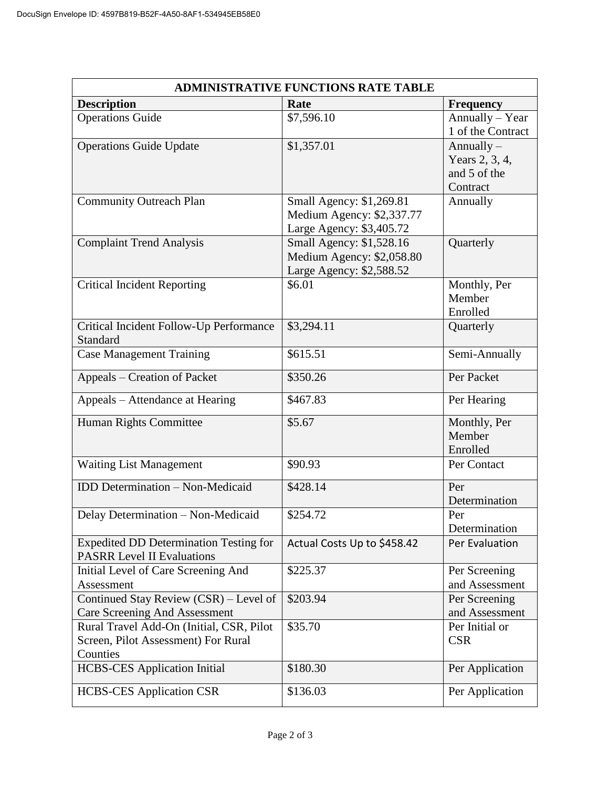| <b>ADMINISTRATIVE FUNCTIONS RATE TABLE</b>                                         |                                                       |                   |  |  |
|------------------------------------------------------------------------------------|-------------------------------------------------------|-------------------|--|--|
| <b>Description</b>                                                                 | Rate                                                  | <b>Frequency</b>  |  |  |
| <b>Operations Guide</b>                                                            | \$7,596.10                                            | Annually - Year   |  |  |
|                                                                                    |                                                       | 1 of the Contract |  |  |
| <b>Operations Guide Update</b>                                                     | \$1,357.01                                            | Annually $-$      |  |  |
|                                                                                    |                                                       | Years 2, 3, 4,    |  |  |
|                                                                                    |                                                       | and 5 of the      |  |  |
|                                                                                    |                                                       | Contract          |  |  |
| <b>Community Outreach Plan</b>                                                     | Small Agency: \$1,269.81<br>Medium Agency: \$2,337.77 | Annually          |  |  |
|                                                                                    | Large Agency: \$3,405.72                              |                   |  |  |
| <b>Complaint Trend Analysis</b>                                                    | Small Agency: \$1,528.16                              | Quarterly         |  |  |
|                                                                                    | Medium Agency: \$2,058.80                             |                   |  |  |
|                                                                                    | Large Agency: \$2,588.52                              |                   |  |  |
| <b>Critical Incident Reporting</b>                                                 | \$6.01                                                | Monthly, Per      |  |  |
|                                                                                    |                                                       | Member            |  |  |
|                                                                                    |                                                       | Enrolled          |  |  |
| Critical Incident Follow-Up Performance                                            | \$3,294.11                                            | Quarterly         |  |  |
| Standard                                                                           |                                                       |                   |  |  |
| Case Management Training                                                           | \$615.51                                              | Semi-Annually     |  |  |
| Appeals – Creation of Packet                                                       | \$350.26                                              | Per Packet        |  |  |
| Appeals – Attendance at Hearing                                                    | \$467.83                                              | Per Hearing       |  |  |
|                                                                                    |                                                       |                   |  |  |
| Human Rights Committee                                                             | \$5.67                                                | Monthly, Per      |  |  |
|                                                                                    |                                                       | Member            |  |  |
|                                                                                    |                                                       | Enrolled          |  |  |
| <b>Waiting List Management</b>                                                     | \$90.93                                               | Per Contact       |  |  |
| <b>IDD</b> Determination - Non-Medicaid                                            | \$428.14                                              | Per               |  |  |
|                                                                                    |                                                       | Determination     |  |  |
| Delay Determination - Non-Medicaid                                                 | \$254.72                                              | Per               |  |  |
|                                                                                    |                                                       | Determination     |  |  |
| <b>Expedited DD Determination Testing for</b><br><b>PASRR Level II Evaluations</b> | Actual Costs Up to \$458.42                           | Per Evaluation    |  |  |
| Initial Level of Care Screening And                                                | \$225.37                                              | Per Screening     |  |  |
| Assessment                                                                         |                                                       | and Assessment    |  |  |
| Continued Stay Review (CSR) - Level of                                             | \$203.94                                              | Per Screening     |  |  |
| Care Screening And Assessment                                                      |                                                       | and Assessment    |  |  |
| Rural Travel Add-On (Initial, CSR, Pilot                                           | \$35.70                                               | Per Initial or    |  |  |
| Screen, Pilot Assessment) For Rural                                                |                                                       | <b>CSR</b>        |  |  |
| Counties                                                                           |                                                       |                   |  |  |
| <b>HCBS-CES</b> Application Initial                                                | \$180.30                                              | Per Application   |  |  |
| <b>HCBS-CES Application CSR</b>                                                    | \$136.03                                              | Per Application   |  |  |
|                                                                                    |                                                       |                   |  |  |